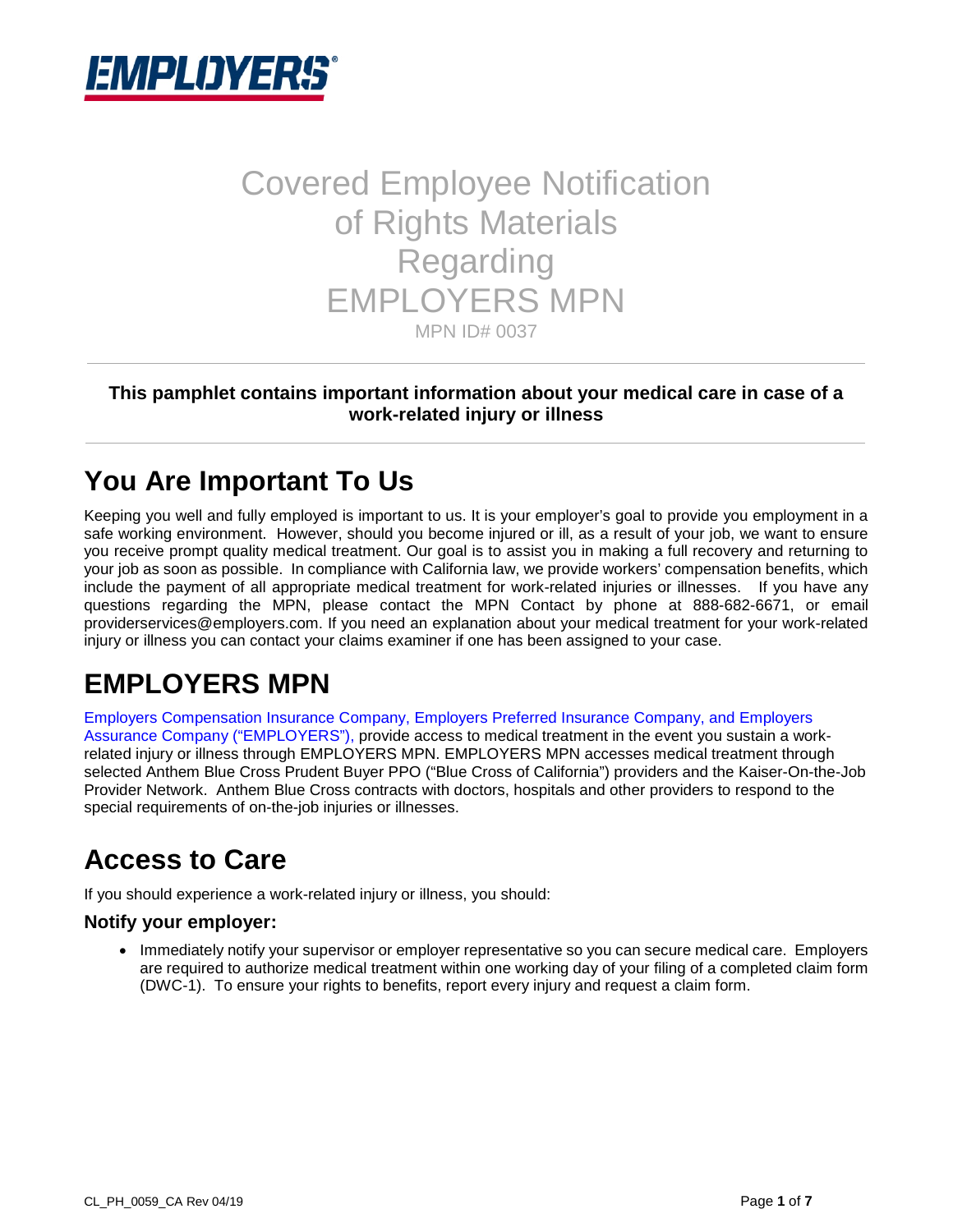

# Covered Employee Notification of Rights Materials Regarding EMPLOYERS MPN MPN ID# 0037

#### **This pamphlet contains important information about your medical care in case of a work-related injury or illness**

### **You Are Important To Us**

Keeping you well and fully employed is important to us. It is your employer's goal to provide you employment in a safe working environment. However, should you become injured or ill, as a result of your job, we want to ensure you receive prompt quality medical treatment. Our goal is to assist you in making a full recovery and returning to your job as soon as possible. In compliance with California law, we provide workers' compensation benefits, which include the payment of all appropriate medical treatment for work-related injuries or illnesses. If you have any questions regarding the MPN, please contact the MPN Contact by phone at 888-682-6671, or email providerservices@employers.com. If you need an explanation about your medical treatment for your work-related injury or illness you can contact your claims examiner if one has been assigned to your case.

# **EMPLOYERS MPN**

Employers Compensation Insurance Company, Employers Preferred Insurance Company, and Employers Assurance Company ("EMPLOYERS"), provide access to medical treatment in the event you sustain a workrelated injury or illness through EMPLOYERS MPN. EMPLOYERS MPN accesses medical treatment through selected Anthem Blue Cross Prudent Buyer PPO ("Blue Cross of California") providers and the Kaiser-On-the-Job Provider Network. Anthem Blue Cross contracts with doctors, hospitals and other providers to respond to the special requirements of on-the-job injuries or illnesses.

## **Access to Care**

If you should experience a work-related injury or illness, you should:

#### **Notify your employer:**

• Immediately notify your supervisor or employer representative so you can secure medical care. Employers are required to authorize medical treatment within one working day of your filing of a completed claim form (DWC-1). To ensure your rights to benefits, report every injury and request a claim form.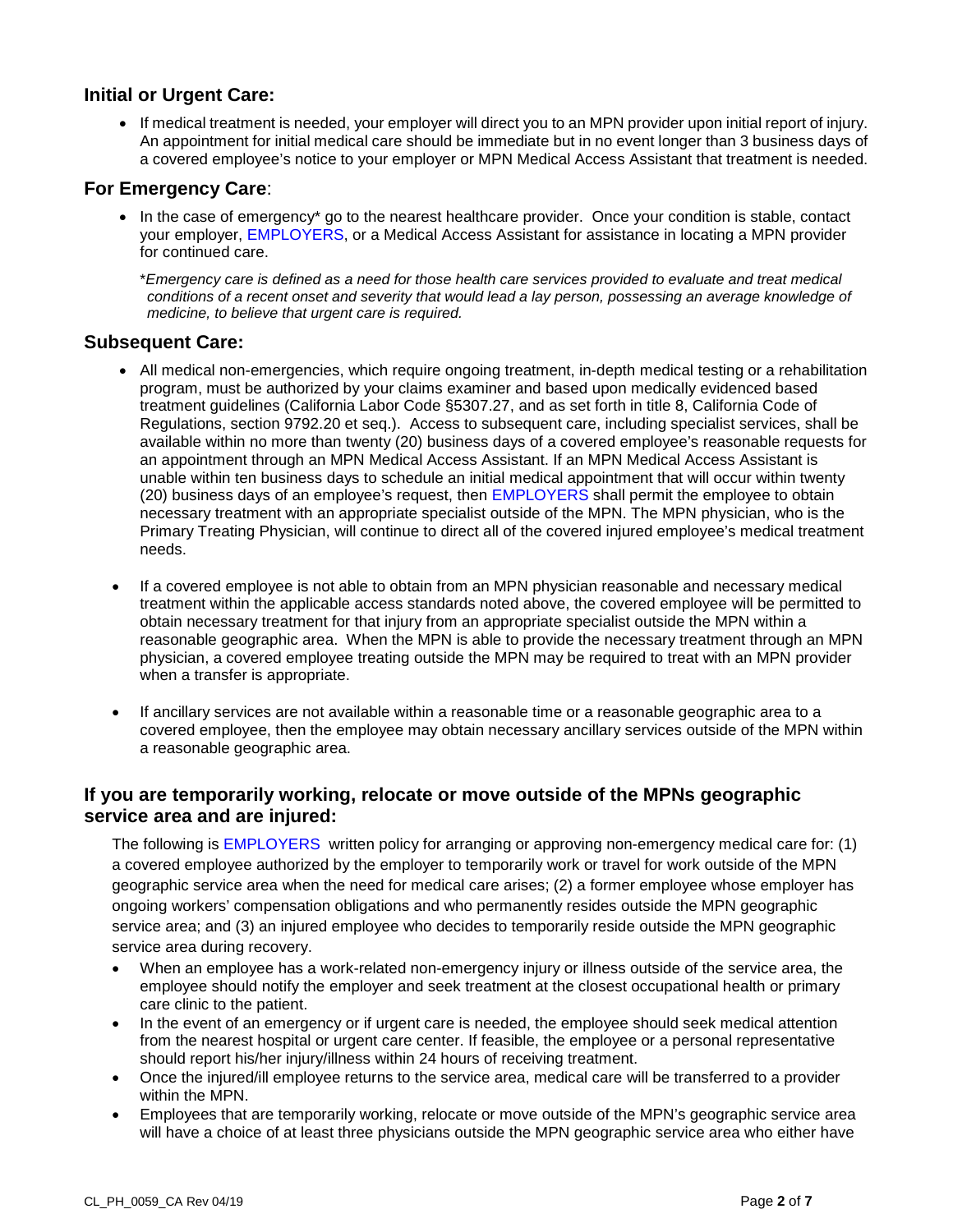#### **Initial or Urgent Care:**

• If medical treatment is needed, your employer will direct you to an MPN provider upon initial report of injury. An appointment for initial medical care should be immediate but in no event longer than 3 business days of a covered employee's notice to your employer or MPN Medical Access Assistant that treatment is needed.

#### **For Emergency Care**:

• In the case of emergency\* go to the nearest healthcare provider. Once your condition is stable, contact your employer, EMPLOYERS, or a Medical Access Assistant for assistance in locating a MPN provider for continued care.

\**Emergency care is defined as a need for those health care services provided to evaluate and treat medical conditions of a recent onset and severity that would lead a lay person, possessing an average knowledge of medicine, to believe that urgent care is required.* 

#### **Subsequent Care:**

- All medical non-emergencies, which require ongoing treatment, in-depth medical testing or a rehabilitation program, must be authorized by your claims examiner and based upon medically evidenced based treatment guidelines (California Labor Code §5307.27, and as set forth in title 8, California Code of Regulations, section 9792.20 et seq.). Access to subsequent care, including specialist services, shall be available within no more than twenty (20) business days of a covered employee's reasonable requests for an appointment through an MPN Medical Access Assistant. If an MPN Medical Access Assistant is unable within ten business days to schedule an initial medical appointment that will occur within twenty (20) business days of an employee's request, then EMPLOYERS shall permit the employee to obtain necessary treatment with an appropriate specialist outside of the MPN. The MPN physician, who is the Primary Treating Physician, will continue to direct all of the covered injured employee's medical treatment needs.
- If a covered employee is not able to obtain from an MPN physician reasonable and necessary medical treatment within the applicable access standards noted above, the covered employee will be permitted to obtain necessary treatment for that injury from an appropriate specialist outside the MPN within a reasonable geographic area. When the MPN is able to provide the necessary treatment through an MPN physician, a covered employee treating outside the MPN may be required to treat with an MPN provider when a transfer is appropriate.
- If ancillary services are not available within a reasonable time or a reasonable geographic area to a covered employee, then the employee may obtain necessary ancillary services outside of the MPN within a reasonable geographic area.

#### **If you are temporarily working, relocate or move outside of the MPNs geographic service area and are injured:**

The following is EMPLOYERS written policy for arranging or approving non-emergency medical care for: (1) a covered employee authorized by the employer to temporarily work or travel for work outside of the MPN geographic service area when the need for medical care arises; (2) a former employee whose employer has ongoing workers' compensation obligations and who permanently resides outside the MPN geographic service area; and (3) an injured employee who decides to temporarily reside outside the MPN geographic service area during recovery.

- When an employee has a work-related non-emergency injury or illness outside of the service area, the employee should notify the employer and seek treatment at the closest occupational health or primary care clinic to the patient.
- In the event of an emergency or if urgent care is needed, the employee should seek medical attention from the nearest hospital or urgent care center. If feasible, the employee or a personal representative should report his/her injury/illness within 24 hours of receiving treatment.
- Once the injured/ill employee returns to the service area, medical care will be transferred to a provider within the MPN.
- Employees that are temporarily working, relocate or move outside of the MPN's geographic service area will have a choice of at least three physicians outside the MPN geographic service area who either have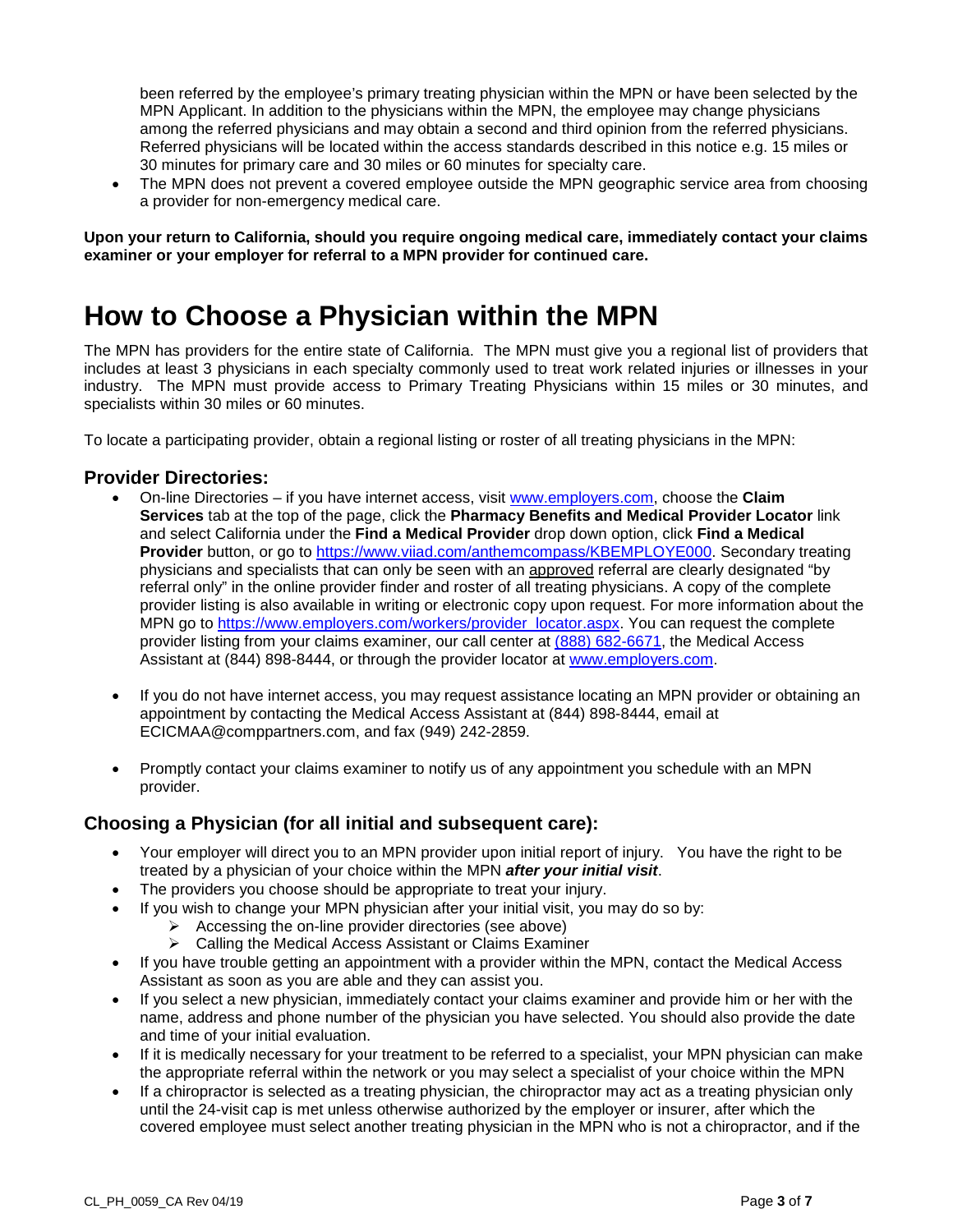been referred by the employee's primary treating physician within the MPN or have been selected by the MPN Applicant. In addition to the physicians within the MPN, the employee may change physicians among the referred physicians and may obtain a second and third opinion from the referred physicians. Referred physicians will be located within the access standards described in this notice e.g. 15 miles or 30 minutes for primary care and 30 miles or 60 minutes for specialty care.

• The MPN does not prevent a covered employee outside the MPN geographic service area from choosing a provider for non-emergency medical care.

**Upon your return to California, should you require ongoing medical care, immediately contact your claims examiner or your employer for referral to a MPN provider for continued care.** 

### **How to Choose a Physician within the MPN**

The MPN has providers for the entire state of California. The MPN must give you a regional list of providers that includes at least 3 physicians in each specialty commonly used to treat work related injuries or illnesses in your industry. The MPN must provide access to Primary Treating Physicians within 15 miles or 30 minutes, and specialists within 30 miles or 60 minutes.

To locate a participating provider, obtain a regional listing or roster of all treating physicians in the MPN:

#### **Provider Directories:**

- On-line Directories if you have internet access, visit [www.employers.com,](https://urldefense.proofpoint.com/v2/url?u=http-3A__www.employers.com&d=DQMFAw&c=A-GX6P9ovB1qTBp7iQve2Q&r=ezot1mDahPabIqpkOz9UeSoQ4i4YIprpxgYjqfgaej4&m=F-cgfcSvm2u1OijhyVXSdpmgLVdZVO5abhNKhLVUR6E&s=gpnG1h_lmYP_rP1hvWLdsc_JagBdrI2Cq-GTUdOGjRY&e=) choose the **Claim Services** tab at the top of the page, click the **Pharmacy Benefits and Medical Provider Locator** link and select California under the **Find a Medical Provider** drop down option, click **Find a Medical Provider** button, or go to [https://www.viiad.com/anthemcompass/KBEMPLOYE000.](https://www.viiad.com/anthemcompass/KBEMPLOYE000) Secondary treating physicians and specialists that can only be seen with an approved referral are clearly designated "by referral only" in the online provider finder and roster of all treating physicians. A copy of the complete provider listing is also available in writing or electronic copy upon request. For more information about the MPN go to [https://www.employers.com/workers/provider\\_locator.aspx.](https://urldefense.proofpoint.com/v2/url?u=https-3A__www.employers.com_workers_provider-5Flocator.aspx&d=DwMFAw&c=A-GX6P9ovB1qTBp7iQve2Q&r=MfD60y7rmK97EQRZwZfwpJlIeTFR1_nCHoyXvF4UNJc&m=jQurgsJ_SlbVqKPMtfw3si5EfBJrMaqTrn1Y0z2rOfA&s=8tWwQbhE_a5GizPAQ547LB-vCy1mafM4VVSoWsOvQOQ&e=) You can request the complete provider listing from your claims examiner, our call center at  $(888) 682-6671$ , the Medical Access Assistant at (844) 898-8444, or through the provider locator at [www.employers.com.](http://www.employers.com/)
- If you do not have internet access, you may request assistance locating an MPN provider or obtaining an appointment by contacting the Medical Access Assistant at (844) 898-8444, email at ECICMAA@comppartners.com, and fax (949) 242-2859.
- Promptly contact your claims examiner to notify us of any appointment you schedule with an MPN provider.

#### **Choosing a Physician (for all initial and subsequent care):**

- Your employer will direct you to an MPN provider upon initial report of injury. You have the right to be treated by a physician of your choice within the MPN *after your initial visit*.
- The providers you choose should be appropriate to treat your injury.
- If you wish to change your MPN physician after your initial visit, you may do so by:
	- $\triangleright$  Accessing the on-line provider directories (see above)
	- **▶ Calling the Medical Access Assistant or Claims Examiner**
- If you have trouble getting an appointment with a provider within the MPN, contact the Medical Access Assistant as soon as you are able and they can assist you.
- If you select a new physician, immediately contact your claims examiner and provide him or her with the name, address and phone number of the physician you have selected. You should also provide the date and time of your initial evaluation.
- If it is medically necessary for your treatment to be referred to a specialist, your MPN physician can make the appropriate referral within the network or you may select a specialist of your choice within the MPN
- If a chiropractor is selected as a treating physician, the chiropractor may act as a treating physician only until the 24-visit cap is met unless otherwise authorized by the employer or insurer, after which the covered employee must select another treating physician in the MPN who is not a chiropractor, and if the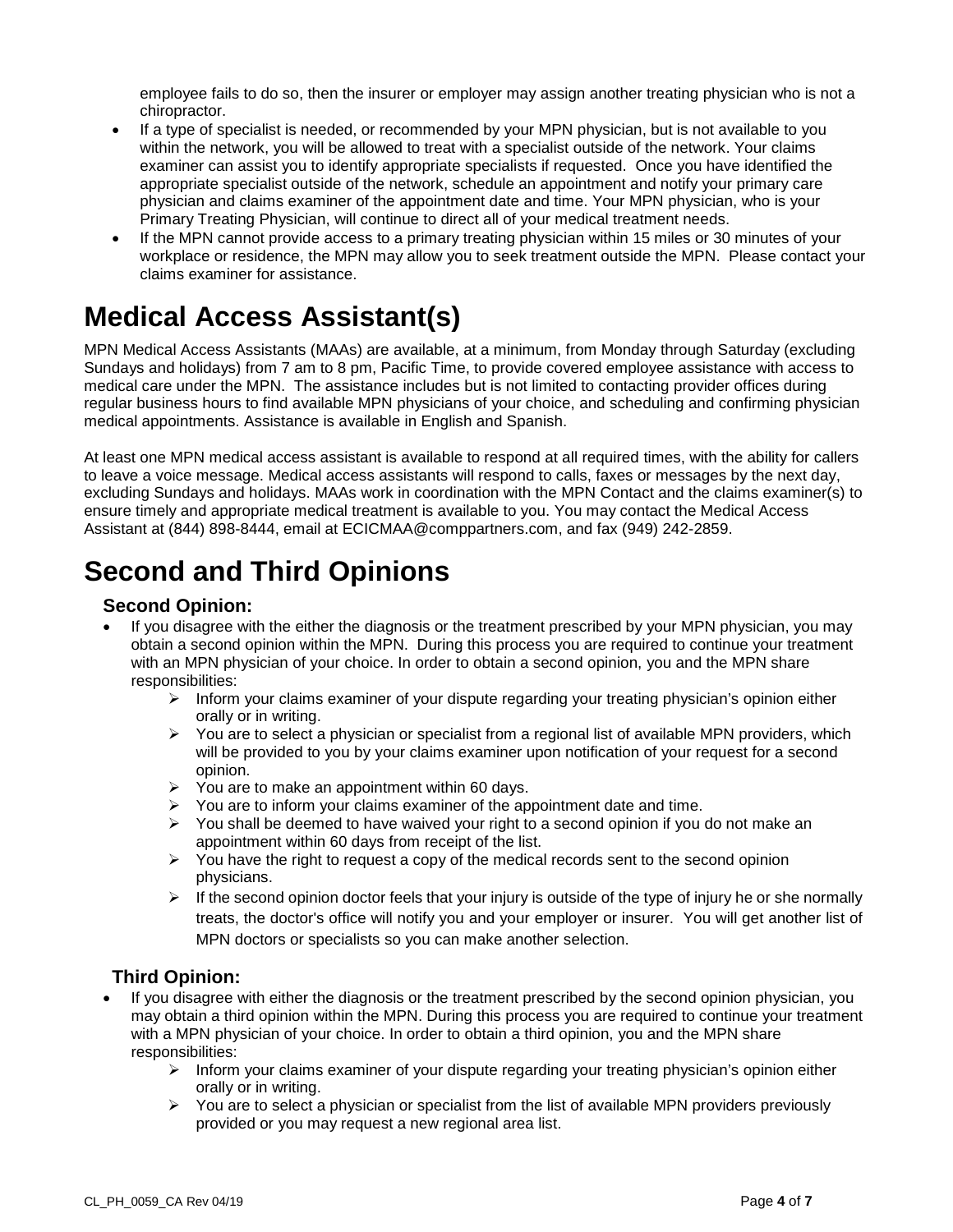employee fails to do so, then the insurer or employer may assign another treating physician who is not a chiropractor.

- If a type of specialist is needed, or recommended by your MPN physician, but is not available to you within the network, you will be allowed to treat with a specialist outside of the network. Your claims examiner can assist you to identify appropriate specialists if requested. Once you have identified the appropriate specialist outside of the network, schedule an appointment and notify your primary care physician and claims examiner of the appointment date and time. Your MPN physician, who is your Primary Treating Physician, will continue to direct all of your medical treatment needs.
- If the MPN cannot provide access to a primary treating physician within 15 miles or 30 minutes of your workplace or residence, the MPN may allow you to seek treatment outside the MPN. Please contact your claims examiner for assistance.

## **Medical Access Assistant(s)**

MPN Medical Access Assistants (MAAs) are available, at a minimum, from Monday through Saturday (excluding Sundays and holidays) from 7 am to 8 pm, Pacific Time, to provide covered employee assistance with access to medical care under the MPN. The assistance includes but is not limited to contacting provider offices during regular business hours to find available MPN physicians of your choice, and scheduling and confirming physician medical appointments. Assistance is available in English and Spanish.

At least one MPN medical access assistant is available to respond at all required times, with the ability for callers to leave a voice message. Medical access assistants will respond to calls, faxes or messages by the next day, excluding Sundays and holidays. MAAs work in coordination with the MPN Contact and the claims examiner(s) to ensure timely and appropriate medical treatment is available to you. You may contact the Medical Access Assistant at (844) 898-8444, email at ECICMAA@comppartners.com, and fax (949) 242-2859.

## **Second and Third Opinions**

#### **Second Opinion:**

- If you disagree with the either the diagnosis or the treatment prescribed by your MPN physician, you may obtain a second opinion within the MPN. During this process you are required to continue your treatment with an MPN physician of your choice. In order to obtain a second opinion, you and the MPN share responsibilities:
	- $\triangleright$  Inform your claims examiner of your dispute regarding your treating physician's opinion either orally or in writing.
	- $\triangleright$  You are to select a physician or specialist from a regional list of available MPN providers, which will be provided to you by your claims examiner upon notification of your request for a second opinion.
	- $\triangleright$  You are to make an appointment within 60 days.
	- $\triangleright$  You are to inform your claims examiner of the appointment date and time.
	- $\triangleright$  You shall be deemed to have waived your right to a second opinion if you do not make an appointment within 60 days from receipt of the list.
	- $\triangleright$  You have the right to request a copy of the medical records sent to the second opinion physicians.
	- $\triangleright$  If the second opinion doctor feels that your injury is outside of the type of injury he or she normally treats, the doctor's office will notify you and your employer or insurer. You will get another list of MPN doctors or specialists so you can make another selection.

#### **Third Opinion:**

- If you disagree with either the diagnosis or the treatment prescribed by the second opinion physician, you may obtain a third opinion within the MPN. During this process you are required to continue your treatment with a MPN physician of your choice. In order to obtain a third opinion, you and the MPN share responsibilities:
	- $\triangleright$  Inform your claims examiner of your dispute regarding your treating physician's opinion either orally or in writing.
	- $\triangleright$  You are to select a physician or specialist from the list of available MPN providers previously provided or you may request a new regional area list.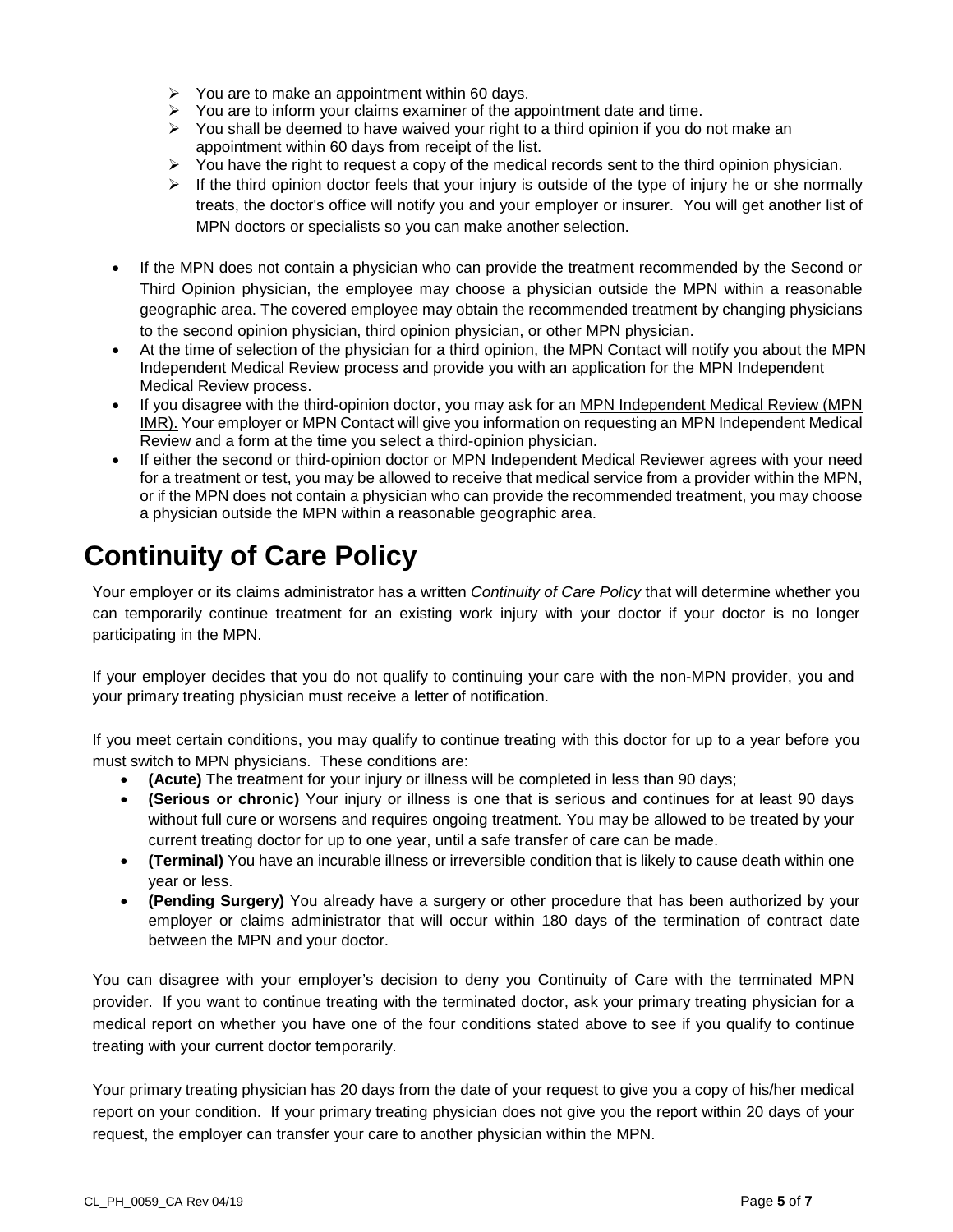- $\triangleright$  You are to make an appointment within 60 days.
- $\triangleright$  You are to inform your claims examiner of the appointment date and time.
- $\triangleright$  You shall be deemed to have waived your right to a third opinion if you do not make an appointment within 60 days from receipt of the list.
- $\triangleright$  You have the right to request a copy of the medical records sent to the third opinion physician.
- $\triangleright$  If the third opinion doctor feels that your injury is outside of the type of injury he or she normally treats, the doctor's office will notify you and your employer or insurer. You will get another list of MPN doctors or specialists so you can make another selection.
- If the MPN does not contain a physician who can provide the treatment recommended by the Second or Third Opinion physician, the employee may choose a physician outside the MPN within a reasonable geographic area. The covered employee may obtain the recommended treatment by changing physicians to the second opinion physician, third opinion physician, or other MPN physician.
- At the time of selection of the physician for a third opinion, the MPN Contact will notify you about the MPN Independent Medical Review process and provide you with an application for the MPN Independent Medical Review process.
- If you disagree with the third-opinion doctor, you may ask for an MPN Independent Medical Review (MPN IMR). Your employer or MPN Contact will give you information on requesting an MPN Independent Medical Review and a form at the time you select a third-opinion physician.
- If either the second or third-opinion doctor or MPN Independent Medical Reviewer agrees with your need for a treatment or test, you may be allowed to receive that medical service from a provider within the MPN, or if the MPN does not contain a physician who can provide the recommended treatment, you may choose a physician outside the MPN within a reasonable geographic area.

# **Continuity of Care Policy**

Your employer or its claims administrator has a written *Continuity of Care Policy* that will determine whether you can temporarily continue treatment for an existing work injury with your doctor if your doctor is no longer participating in the MPN.

If your employer decides that you do not qualify to continuing your care with the non-MPN provider, you and your primary treating physician must receive a letter of notification.

If you meet certain conditions, you may qualify to continue treating with this doctor for up to a year before you must switch to MPN physicians. These conditions are:

- **(Acute)** The treatment for your injury or illness will be completed in less than 90 days;
- **(Serious or chronic)** Your injury or illness is one that is serious and continues for at least 90 days without full cure or worsens and requires ongoing treatment. You may be allowed to be treated by your current treating doctor for up to one year, until a safe transfer of care can be made.
- **(Terminal)** You have an incurable illness or irreversible condition that is likely to cause death within one year or less.
- **(Pending Surgery)** You already have a surgery or other procedure that has been authorized by your employer or claims administrator that will occur within 180 days of the termination of contract date between the MPN and your doctor.

You can disagree with your employer's decision to deny you Continuity of Care with the terminated MPN provider. If you want to continue treating with the terminated doctor, ask your primary treating physician for a medical report on whether you have one of the four conditions stated above to see if you qualify to continue treating with your current doctor temporarily.

Your primary treating physician has 20 days from the date of your request to give you a copy of his/her medical report on your condition. If your primary treating physician does not give you the report within 20 days of your request, the employer can transfer your care to another physician within the MPN.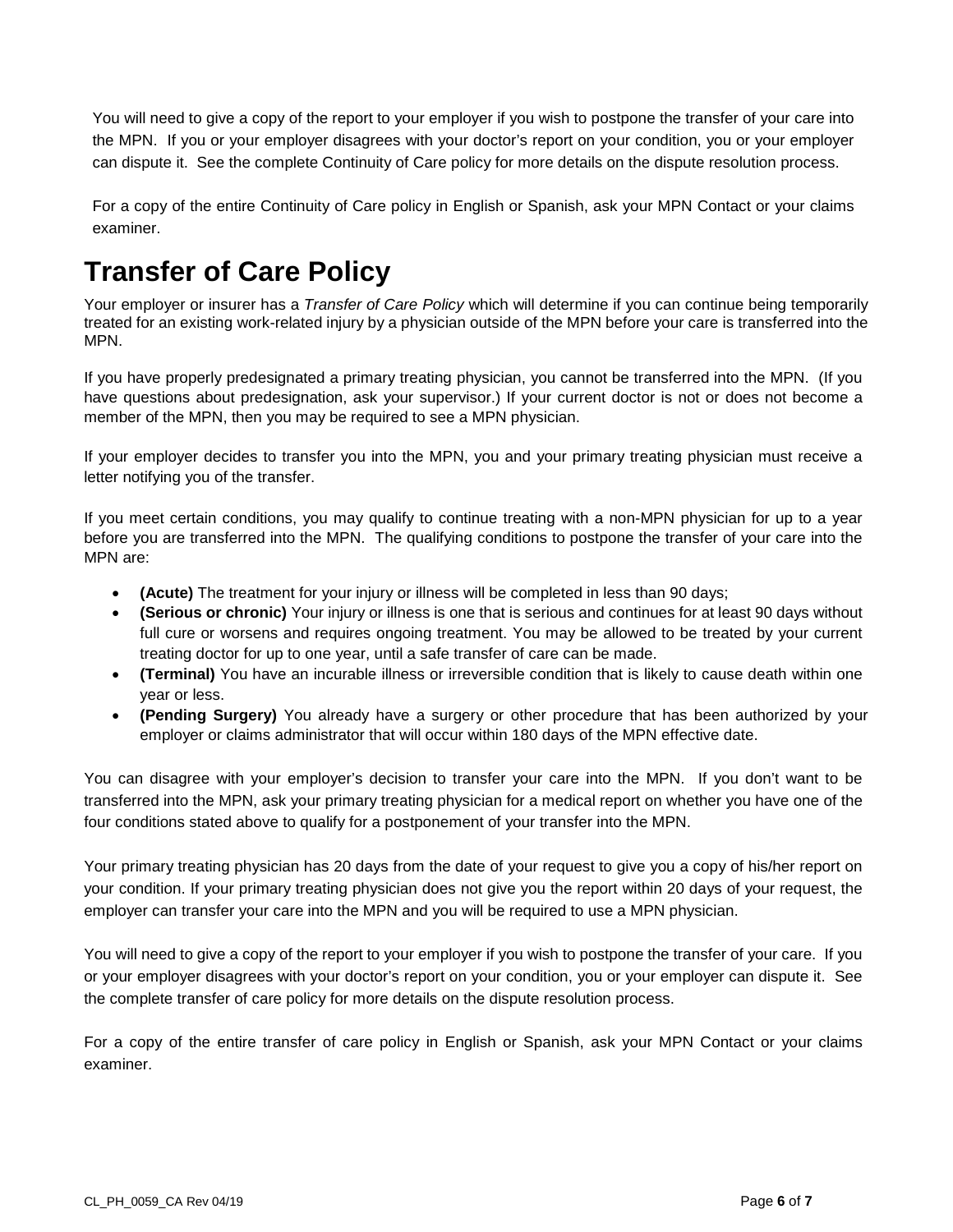You will need to give a copy of the report to your employer if you wish to postpone the transfer of your care into the MPN. If you or your employer disagrees with your doctor's report on your condition, you or your employer can dispute it. See the complete Continuity of Care policy for more details on the dispute resolution process.

For a copy of the entire Continuity of Care policy in English or Spanish, ask your MPN Contact or your claims examiner.

## **Transfer of Care Policy**

Your employer or insurer has a *Transfer of Care Policy* which will determine if you can continue being temporarily treated for an existing work-related injury by a physician outside of the MPN before your care is transferred into the MPN.

If you have properly predesignated a primary treating physician, you cannot be transferred into the MPN. (If you have questions about predesignation, ask your supervisor.) If your current doctor is not or does not become a member of the MPN, then you may be required to see a MPN physician.

If your employer decides to transfer you into the MPN, you and your primary treating physician must receive a letter notifying you of the transfer.

If you meet certain conditions, you may qualify to continue treating with a non-MPN physician for up to a year before you are transferred into the MPN. The qualifying conditions to postpone the transfer of your care into the MPN are:

- **(Acute)** The treatment for your injury or illness will be completed in less than 90 days;
- **(Serious or chronic)** Your injury or illness is one that is serious and continues for at least 90 days without full cure or worsens and requires ongoing treatment. You may be allowed to be treated by your current treating doctor for up to one year, until a safe transfer of care can be made.
- **(Terminal)** You have an incurable illness or irreversible condition that is likely to cause death within one year or less.
- **(Pending Surgery)** You already have a surgery or other procedure that has been authorized by your employer or claims administrator that will occur within 180 days of the MPN effective date.

You can disagree with your employer's decision to transfer your care into the MPN. If you don't want to be transferred into the MPN, ask your primary treating physician for a medical report on whether you have one of the four conditions stated above to qualify for a postponement of your transfer into the MPN.

Your primary treating physician has 20 days from the date of your request to give you a copy of his/her report on your condition. If your primary treating physician does not give you the report within 20 days of your request, the employer can transfer your care into the MPN and you will be required to use a MPN physician.

You will need to give a copy of the report to your employer if you wish to postpone the transfer of your care. If you or your employer disagrees with your doctor's report on your condition, you or your employer can dispute it. See the complete transfer of care policy for more details on the dispute resolution process.

For a copy of the entire transfer of care policy in English or Spanish, ask your MPN Contact or your claims examiner.